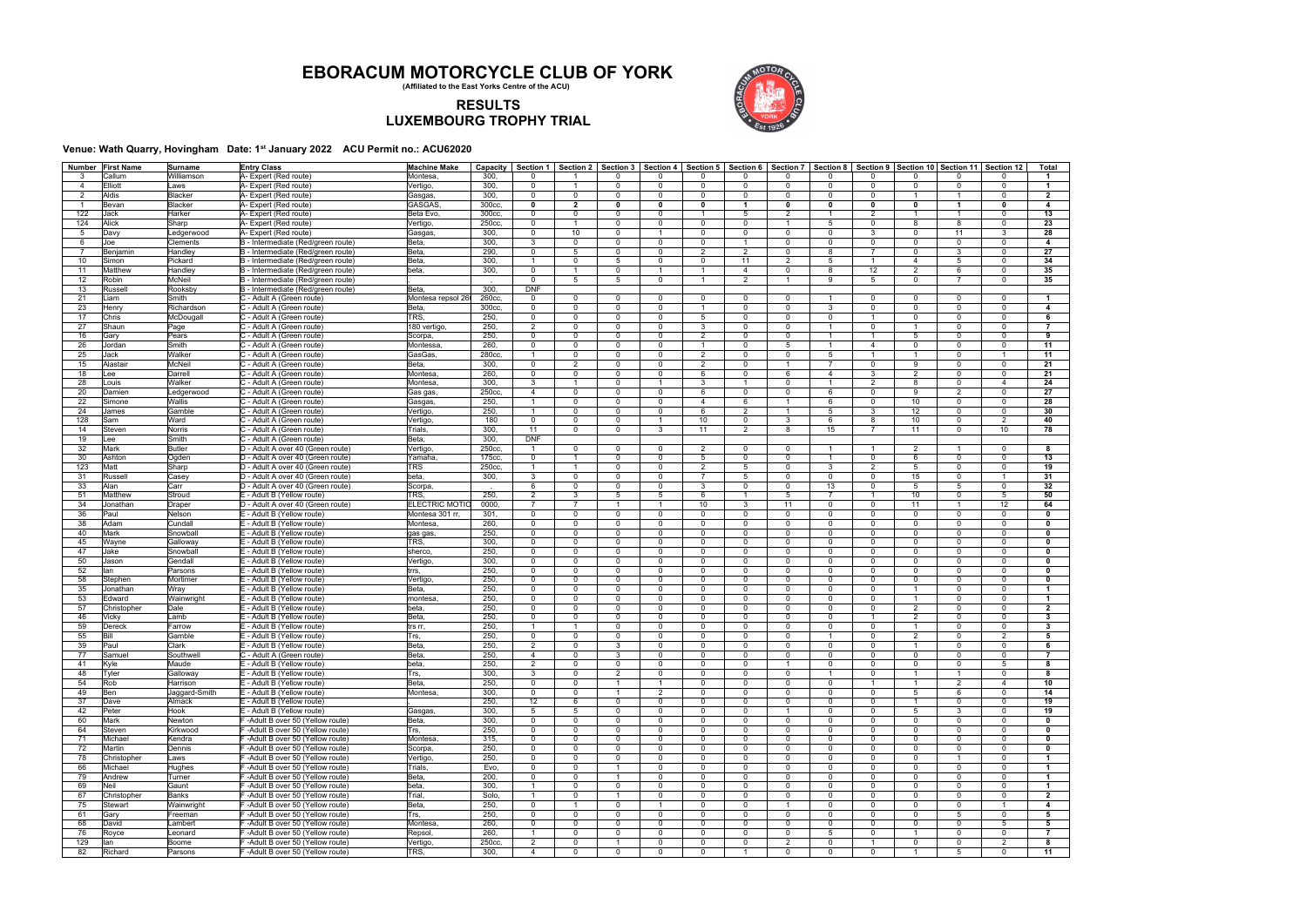| Number         | <b>First Name</b> | Surname       | <b>Entry Class</b>                 | <b>Machine Make</b>   | Capacity | Section 1      |                |                | Section 2   Section 3   Section 4   Section 5   Section 6   Section 7 |                |                 |                         |                |                 |                | Section 8   Section 9   Section 10   Section 11   Section 12 |                 | Tota                    |
|----------------|-------------------|---------------|------------------------------------|-----------------------|----------|----------------|----------------|----------------|-----------------------------------------------------------------------|----------------|-----------------|-------------------------|----------------|-----------------|----------------|--------------------------------------------------------------|-----------------|-------------------------|
|                | Callum            | Williamson    | A- Expert (Red route)              | Montesa               | 300,     | 0              |                |                | $\Omega$                                                              | $\Omega$       | O               | $\Omega$                |                | $\Omega$        | $\mathbf{0}$   | 0                                                            |                 | $\overline{1}$          |
| $\overline{4}$ | Elliott           | Laws          | A- Expert (Red route)              | Vertigo,              | 300,     | $\mathbf 0$    |                | $\mathbf 0$    | $\mathbf 0$                                                           | $\mathbf 0$    | $\Omega$        | $\overline{0}$          | $\Omega$       | $\mathbf 0$     | $\mathbf 0$    | $\Omega$                                                     | $\mathbf 0$     | $\mathbf{1}$            |
| $\overline{2}$ | Aldis             | Blacker       | A- Expert (Red route)              | Gasgas                | 300,     | $\mathbf 0$    | $\overline{0}$ | $\Omega$       | $\mathbf 0$                                                           | $\mathbf 0$    | $\Omega$        | $\overline{0}$          | $\Omega$       | $\mathbf 0$     | $\mathbf{1}$   | $\overline{1}$                                               | $\Omega$        | $\overline{2}$          |
| -1             | Bevan             | Blacker       | A- Expert (Red route)              | <b>GASGAS</b>         | 300cc.   | 0              | $\overline{2}$ | $\mathbf{0}$   | $\mathbf 0$                                                           | $\mathbf 0$    | $\overline{1}$  | $\mathbf 0$             | $\mathbf{0}$   | $\mathbf{0}$    | $\mathbf 0$    | $\overline{1}$                                               | $\mathbf{0}$    | $\overline{\mathbf{4}}$ |
| 122            | Jack              | Harker        | A- Expert (Red route)              | Beta Evo              | 300cc,   | $\mathbf 0$    | $\overline{0}$ | $\Omega$       | $\mathbf 0$                                                           | $\overline{1}$ | 5               | 2                       |                | $\overline{2}$  | $\mathbf{1}$   | $\overline{1}$                                               | $\Omega$        | 13                      |
| 124            | Alick             | Sharp         | A- Expert (Red route)              | Vertigo,              | 250cc,   | $\mathbf 0$    | $\overline{1}$ | $\Omega$       | $\mathbf 0$                                                           | $\mathbf 0$    | $\mathbf{0}$    | $\overline{1}$          | 5              | $\mathbf 0$     | 8              | 8                                                            | $\mathbf 0$     | 23                      |
| 5              | Davy              | Ledgerwood    | A- Expert (Red route)              | Gasgas,               | 300,     | $\mathbf 0$    | 10             | $\Omega$       |                                                                       | $\mathbf 0$    | $\Omega$        | $\overline{0}$          | $\Omega$       | 3               | $\mathbf{0}$   | 11                                                           | 3               | 28                      |
| -6             | Joe               | Clements      | B - Intermediate (Red/green route) | Beta,                 | 300,     | 3              | $\Omega$       | $\Omega$       | $\mathbf 0$                                                           | $\Omega$       |                 | $\Omega$                | $\Omega$       | $\Omega$        | $\mathbf 0$    | $\Omega$                                                     | $\Omega$        | 4                       |
|                | Benjamin          | Handley       | B - Intermediate (Red/green route) | Beta,                 | 290.     | $\mathbf 0$    | 5              | $\mathbf 0$    | $\mathbf 0$                                                           | 2              | 2               | $\overline{\mathbf{0}}$ | 8              | $\overline{7}$  | $\mathbf{0}$   | 3                                                            | $\mathbf 0$     | 27                      |
|                |                   |               |                                    |                       | 300,     | $\overline{1}$ | $\overline{0}$ | 5              | $\mathbf 0$                                                           | $\mathbf 0$    | 11              | 2                       | 5              | $\mathbf{1}$    | $\overline{4}$ | 5                                                            | $\mathbf 0$     | 34                      |
| 10             | Simon             | Pickard       | B - Intermediate (Red/green route) | Beta,                 |          |                | $\overline{1}$ |                |                                                                       |                | $\overline{4}$  |                         | 8              |                 |                |                                                              |                 |                         |
| 11             | Matthew           | Handley       | B - Intermediate (Red/green route) | beta.                 | 300,     | $\mathbf 0$    |                | $\Omega$       | $\mathbf{1}$                                                          | $\overline{1}$ |                 | $\overline{0}$          |                | 12              | 2              | 6                                                            | $\mathbf 0$     | 35                      |
| 12             | Robin             | <b>McNeil</b> | B - Intermediate (Red/green route) |                       |          | $\Omega$       | 5              | $5^{\circ}$    | $\mathbf 0$                                                           | $\overline{1}$ | $\overline{2}$  | $\overline{1}$          | 9              | $5\overline{5}$ | $\mathbf{0}$   | $\overline{7}$                                               | $\mathbf 0$     | 35                      |
| 13             | Russell           | Rooksby       | B - Intermediate (Red/green route) | Beta,                 | 300,     | <b>DNF</b>     |                |                |                                                                       |                |                 |                         |                |                 |                |                                                              |                 |                         |
| 21             | Liam              | Smith         | C - Adult A (Green route)          | Montesa repsol 26     | 260cc,   | 0              | $\overline{0}$ | $\Omega$       | $\mathbf 0$                                                           | $\mathbf 0$    | $\Omega$        | $\overline{0}$          |                | $\mathbf 0$     | $\mathbf{0}$   | $\mathbf{0}$                                                 | $\Omega$        | $\overline{1}$          |
| 23             | Henry             | Richardson    | C - Adult A (Green route)          | Beta,                 | 300cc,   | $\Omega$       | $\Omega$       | $\Omega$       | $\mathbf 0$                                                           | $\overline{1}$ | $\Omega$        | $\overline{0}$          | 3              | $\mathbf 0$     | $\mathbf 0$    | $\Omega$                                                     | $\Omega$        | 4                       |
| 17             | Chris             | McDougall     | C - Adult A (Green route)          | TRS,                  | 250,     | $\mathbf 0$    | $\mathbf 0$    | $\mathbf 0$    | $\mathbf 0$                                                           | 5              | $\Omega$        | $\overline{0}$          | $\mathbf 0$    | $\mathbf{1}$    | $\mathbf{0}$   | $\mathbf{0}$                                                 | $\mathbf 0$     | 6                       |
| 27             | Shaun             | Page          | C - Adult A (Green route)          | 180 vertigo,          | 250,     | 2              | $\overline{0}$ | $\Omega$       | $\mathbf 0$                                                           | 3              | $\Omega$        | $\overline{0}$          | $\overline{1}$ | $\mathbf 0$     | $\mathbf{1}$   | $\Omega$                                                     | $\mathbf 0$     | $\overline{7}$          |
| 16             | Gary              | Pears         | C - Adult A (Green route)          | Scorpa                | 250,     | $\mathbf 0$    | $\overline{0}$ | $\Omega$       | $\mathbf 0$                                                           | $\overline{2}$ | $\Omega$        | $\mathbf 0$             | $\overline{1}$ | $\mathbf{1}$    | 5              | $\mathbf 0$                                                  | $\Omega$        | 9                       |
| 26             | Jordan            | Smith         | C - Adult A (Green route)          | Montessa              | 260,     | $\mathbf 0$    | $\mathbf 0$    | $\Omega$       | $\mathbf 0$                                                           | $\overline{1}$ | $\Omega$        | 5                       |                | $\overline{4}$  | $\mathbf 0$    | $\mathbf 0$                                                  | $\mathbf 0$     | 11                      |
| 25             | Jack              | Walker        | C - Adult A (Green route)          | GasGas,               | 280cc,   | -1             | $\Omega$       | $\Omega$       | $\mathbf 0$                                                           | $\overline{2}$ | $\Omega$        | $\mathbf 0$             | 5              | $\mathbf{1}$    | $\mathbf{1}$   | $\Omega$                                                     | $\overline{1}$  | 11                      |
| 15             | Alastair          | <b>McNeil</b> | C - Adult A (Green route)          | Beta,                 | 300,     | $\Omega$       | $\overline{2}$ | $\Omega$       | $\Omega$                                                              | $\overline{2}$ | $\Omega$        |                         |                | $\mathbf 0$     | 9              | $\Omega$                                                     | $\mathbf 0$     | 21                      |
| 18             | Lee               | Darrell       | C - Adult A (Green route)          | Montesa,              | 260,     | $\Omega$       | $\Omega$       | $\Omega$       | $\mathbf 0$                                                           | 6              | $\Omega$        | 6                       | $\overline{4}$ | 3               | $\overline{2}$ | $\Omega$                                                     | $\Omega$        | 21                      |
| 28             | Louis             | Walker        | C - Adult A (Green route)          | Montesa,              | 300,     | 3              | $\overline{1}$ | $\Omega$       | $\mathbf{1}$                                                          | 3              | $\overline{1}$  | $\overline{0}$          | $\overline{1}$ | 2               | 8              | $\mathbf{0}$                                                 | $\overline{4}$  | 24                      |
| 20             | Damien            | Ledgerwood    | C - Adult A (Green route)          | Gas gas,              | 250cc,   | $\overline{4}$ | $\overline{0}$ | $\mathbf 0$    | $\mathbf 0$                                                           | 6              | $\Omega$        | $\overline{0}$          | 6              | $\mathbf 0$     | 9              | $\overline{2}$                                               | $\mathbf 0$     | 27                      |
| 22             | Simone            | Wallis        | C - Adult A (Green route)          | Gasgas,               | 250,     | $\overline{1}$ | $\mathbf 0$    | $\Omega$       | $\mathbf 0$                                                           | $\overline{4}$ | 6               | $\overline{1}$          | 6              | $\mathbf 0$     | 10             | $\mathbf 0$                                                  | $\mathbf 0$     | 28                      |
| 24             | James             | Gamble        | C - Adult A (Green route)          | Vertigo               | 250,     | $\overline{1}$ | $\mathbf 0$    | $\Omega$       | $\mathbf 0$                                                           | 6              | 2               | $\overline{1}$          | 5              | 3               | 12             | $\mathbf{0}$                                                 | $\mathbf 0$     | 30                      |
| 128            | Sam               | Ward          | C - Adult A (Green route)          | Vertigo               | 180      | $\mathbf 0$    | $\Omega$       | $\Omega$       | $\mathbf{1}$                                                          | 10             | $\Omega$        | 3                       | 6              | 8               | 10             | $\Omega$                                                     | $\overline{2}$  | 40                      |
| 14             | Steven            | Norris        | C - Adult A (Green route)          | Trials,               | 300,     | 11             | $\Omega$       | $\Omega$       | 3                                                                     | 11             | $\overline{2}$  | 8                       | 15             | $\overline{7}$  | 11             | $\mathbf{0}$                                                 | 10 <sup>1</sup> | 78                      |
| 19             | Lee               | Smith         | C - Adult A (Green route)          | Beta,                 | 300,     | <b>DNF</b>     |                |                |                                                                       |                |                 |                         |                |                 |                |                                                              |                 |                         |
|                | Mark              |               |                                    |                       |          | $\overline{1}$ | $\overline{0}$ | $\mathbf 0$    | $\mathbf 0$                                                           |                |                 | $\overline{0}$          | $\overline{1}$ |                 |                |                                                              | $\mathbf 0$     |                         |
| 32             |                   | <b>Butler</b> | D - Adult A over 40 (Green route)  | Vertigo               | 250cc,   |                |                |                |                                                                       | $\overline{2}$ | $\mathbf{0}$    |                         |                | $\mathbf{1}$    | $\overline{2}$ | $\overline{1}$                                               |                 | 8                       |
| 30             | Ashton            | Oqden         | D - Adult A over 40 (Green route)  | Yamaha,               | 175cc.   | $\Omega$       | $\overline{1}$ | $\Omega$       | $\mathbf 0$                                                           | 5              | $\Omega$        | $\mathbf 0$             |                | $\overline{0}$  | 6              | $\Omega$                                                     | $\Omega$        | 13                      |
| 123            | Matt              | Sharp         | D - Adult A over 40 (Green route)  | TRS                   | 250cc,   | $\overline{1}$ | $\overline{1}$ | $\Omega$       | $\mathbf 0$                                                           | $\overline{2}$ | $5\overline{5}$ | $\mathbf 0$             | 3              | 2               | 5              | $\mathbf 0$                                                  | $\mathbf 0$     | 19                      |
| 31             | Russell           | Casey         | D - Adult A over 40 (Green route)  | beta,                 | 300,     | 3              | $\overline{0}$ | $\Omega$       | $\mathbf 0$                                                           | $\overline{7}$ | 5               | $\overline{0}$          | $\mathbf 0$    | $\mathbf{0}$    | 15             | $\mathbf{0}$                                                 | $\overline{1}$  | 31                      |
| 33             | Alan              | Carr          | D - Adult A over 40 (Green route)  | Scorpa                |          | 6              | $\Omega$       | $\Omega$       | $\mathbf 0$                                                           | 3              | $\Omega$        | $\overline{0}$          | 13             | $\mathbf 0$     | 5              | 5                                                            | $\Omega$        | 32                      |
| 51             | Matthew           | Stroud        | E - Adult B (Yellow route)         | TRS,                  | 250,     | $\overline{2}$ | 3              | 5              | 5                                                                     | 6              |                 | 5                       |                | $\mathbf{1}$    | 10             | $\Omega$                                                     | 5               | 50                      |
| 34             | Jonathan          | Draper        | D - Adult A over 40 (Green route)  | <b>ELECTRIC MOTIO</b> | 0000     | $\overline{7}$ | $\overline{7}$ |                | $\overline{1}$                                                        | 10             | 3               | 11                      | $\Omega$       | $\mathbf 0$     | 11             | $\overline{1}$                                               | 12              | 64                      |
| 36             | Paul              | Nelson        | E - Adult B (Yellow route)         | Montesa 301 rr,       | 301.     | $\mathbf 0$    | $\overline{0}$ | $\Omega$       | $\mathbf 0$                                                           | $\mathbf 0$    | $\Omega$        | $\overline{0}$          | $\Omega$       | $\mathbf 0$     | $\mathbf 0$    | $\mathbf{0}$                                                 | $\Omega$        | $\mathbf 0$             |
| 38             | Adam              | Cundall       | E - Adult B (Yellow route)         | Montesa,              | 260,     | $\Omega$       | $\overline{0}$ | $\Omega$       | $\mathbf 0$                                                           | $\mathbf 0$    | $\Omega$        | $\overline{0}$          | $\mathbf 0$    | $\mathbf 0$     | $\mathbf 0$    | $\Omega$                                                     | $\Omega$        | $\mathbf 0$             |
| 40             | Mark              | Snowball      | E - Adult B (Yellow route)         | gas gas               | 250,     | $\mathbf 0$    | $\Omega$       | $\Omega$       | $\mathbf 0$                                                           | $\mathbf 0$    | $\Omega$        | $\overline{0}$          | $\Omega$       | $\mathbf{0}$    | $\mathbf{0}$   | $\mathbf{0}$                                                 | $\Omega$        | $\mathbf 0$             |
| 45             | Wayne             | Galloway      | E - Adult B (Yellow route)         | TRS,                  | 300,     | $\mathbf{0}$   | $\Omega$       | $\mathbf 0$    | $\mathbf 0$                                                           | $\mathbf 0$    | $\Omega$        | $\overline{0}$          | $\mathbf 0$    | $\mathbf{0}$    | $\mathbf{0}$   | $\Omega$                                                     | $\Omega$        | $\mathbf 0$             |
| 47             | Jake              | Snowball      | E - Adult B (Yellow route)         | sherco,               | 250,     | $\Omega$       | $\Omega$       | $\Omega$       | $\mathbf 0$                                                           | $\Omega$       | $\Omega$        | $\overline{0}$          | $\Omega$       | $\mathbf 0$     | $\mathbf{0}$   | $\mathbf{0}$                                                 | $\Omega$        | $\mathbf 0$             |
| 50             | Jason             | Gendall       | E - Adult B (Yellow route)         | Vertigo,              | 300,     | $\mathbf 0$    | $\Omega$       | $\mathbf 0$    | $\mathbf 0$                                                           | $\mathbf 0$    | $\Omega$        | $\overline{0}$          | $\Omega$       | $\Omega$        | $\mathbf{0}$   | $\Omega$                                                     | $\mathbf 0$     | $\mathbf 0$             |
| 52             | lan               | Parsons       | E - Adult B (Yellow route)         | trrs,                 | 250,     | $\Omega$       | $\Omega$       | $\Omega$       | $\mathbf 0$                                                           | $\mathbf 0$    | $\Omega$        | $\overline{0}$          | $\Omega$       | $\mathbf 0$     | $\mathbf{0}$   | $\Omega$                                                     | $\Omega$        | $\mathbf 0$             |
| 58             | Stephen           | Mortimer      | E - Adult B (Yellow route)         | Vertigo               | 250,     | $\mathbf 0$    | $\overline{0}$ | $\Omega$       | $\mathbf 0$                                                           | $\mathbf 0$    | $\Omega$        | $\overline{0}$          | $\Omega$       | $\mathbf 0$     | $\mathbf{0}$   | $\mathbf{0}$                                                 | $\Omega$        | $\mathbf 0$             |
| 35             | Jonathan          | Wray          | E - Adult B (Yellow route)         | Beta,                 | 250,     | $\mathbf 0$    | $\mathbf 0$    | $\Omega$       | $\mathbf 0$                                                           | $\mathbf 0$    | $\Omega$        | $\mathbf 0$             | $\Omega$       | $\mathbf 0$     | $\mathbf{1}$   | $\mathbf{0}$                                                 | $\mathbf 0$     | $\overline{1}$          |
|                |                   |               |                                    |                       | 250,     | $\mathbf 0$    | $\Omega$       | $\Omega$       | $\mathbf 0$                                                           | $\mathbf 0$    | $\Omega$        | $\overline{0}$          | $\Omega$       | $\Omega$        | $\mathbf{1}$   | $\mathbf{0}$                                                 | $\Omega$        |                         |
| 53             | Edward            | Wainwright    | E - Adult B (Yellow route)         | montesa,              |          |                |                |                |                                                                       |                |                 |                         |                |                 |                |                                                              |                 | $\mathbf{1}$            |
| 57             | Christopher       | Dale          | E - Adult B (Yellow route)         | beta,                 | 250,     | $\mathbf{0}$   | $\Omega$       | $\mathbf 0$    | $\mathbf 0$                                                           | $\mathbf 0$    | $\Omega$        | $\overline{0}$          | $\mathbf 0$    | 0               | $\overline{2}$ | $\Omega$                                                     | $\Omega$        | $\overline{2}$          |
| 46             | Vicky             | Lamb          | E - Adult B (Yellow route)         | Beta,                 | 250,     | $\Omega$       | $\Omega$       | $\Omega$       | $\mathbf 0$                                                           | $\Omega$       | $\Omega$        | $\overline{0}$          | $\Omega$       | $\mathbf{1}$    | $\overline{2}$ | $\Omega$                                                     | $\Omega$        | $3^{\circ}$             |
| 59             | Dereck            | Farrow        | E - Adult B (Yellow route)         | trs rr,               | 250,     | -1             |                | $\Omega$       | $\mathbf 0$                                                           | $\mathbf 0$    | $\Omega$        | $\Omega$                | $\Omega$       | $\mathbf 0$     | $\mathbf{1}$   | $\Omega$                                                     | $\Omega$        | $\mathbf{3}$            |
| 55             | Bill              | Gamble        | E - Adult B (Yellow route)         | Trs,                  | 250,     | $\mathbf 0$    | $\mathbf 0$    | $\Omega$       | $\mathbf 0$                                                           | $\mathbf 0$    | $\Omega$        | $\Omega$                |                | $\mathbf{0}$    | $\overline{2}$ | $\Omega$                                                     | 2               | 5                       |
| 39             | Paul              | Clark         | E - Adult B (Yellow route)         | Beta,                 | 250.     | 2              | $\Omega$       | 3              | $\Omega$                                                              | $\Omega$       | $\Omega$        | $\Omega$                | $\Omega$       | $\Omega$        | $\mathbf{1}$   | $\Omega$                                                     | $\Omega$        | 6                       |
| 77             | Samuel            | Southwell     | C - Adult A (Green route)          | ∣Beta,                | 250,     | 4              | $\bf{0}$       | 3              | 0                                                                     | $\mathbf{0}$   | $\mathbf{0}$    | $\mathbf{0}$            | 0              | 0               | $\mathbf{0}$   | $\mathbf{0}$                                                 | $\mathbf{0}$    | 7                       |
| 41             | Kyle              | Maude         | E - Adult B (Yellow route)         | beta,                 | 250,     | $\overline{2}$ | $\Omega$       | $\Omega$       | $\mathbf 0$                                                           | $\mathbf 0$    | $\mathbf{0}$    | $\overline{1}$          | $\Omega$       | $\mathbf 0$     | $\mathbf{0}$   | $\mathbf 0$                                                  | 5               | 8                       |
| 48             | Tyler             | Galloway      | E - Adult B (Yellow route)         | Trs,                  | 300,     | 3              | $\mathbf 0$    | $\overline{2}$ | $\mathbf 0$                                                           | $\mathbf 0$    | 0               | $\mathbf 0$             |                | $\mathbf 0$     | $\mathbf{1}$   | $\mathbf{1}$                                                 | $\mathbf{0}$    | 8                       |
| 54             | Rob               | Harrison      | E - Adult B (Yellow route)         | Beta,                 | 250,     | $\Omega$       | 0              |                |                                                                       | $\Omega$       | $\Omega$        | $\mathbf 0$             | $\Omega$       | $\mathbf{1}$    | $\mathbf{1}$   | $\overline{2}$                                               | 4               | 10                      |
| 49             | Ben               | Jaggard-Smith | E - Adult B (Yellow route)         | Montesa,              | 300,     | $\mathbf 0$    | $\mathbf 0$    |                | 2                                                                     | $\mathbf 0$    | $\mathbf{0}$    | $\mathbf 0$             | $\Omega$       | $\mathbf 0$     | 5              | 6                                                            | $\mathbf 0$     | 14                      |
| 37             | Dave              | Almack        | E - Adult B (Yellow route)         |                       | 250,     | 12             | 6              | $\Omega$       | $\mathbf 0$                                                           | $\mathbf 0$    | $\mathbf{0}$    | $\overline{0}$          | $\mathbf{0}$   | $\mathbf 0$     | $\mathbf{1}$   | $\mathbf 0$                                                  | $\mathbf 0$     | 19                      |
| 42             | Peter             | Hook          | E - Adult B (Yellow route)         | Gasgas,               | 300,     | $5^{\circ}$    | 5              | $\mathbf{0}$   | $\mathbf 0$                                                           | $\mathbf{0}$   | $\mathbf 0$     | $\overline{1}$          | $\overline{0}$ | $\mathbf 0$     | 5              | 3                                                            | $\overline{0}$  | 19                      |
| 60             | Mark              | Newton        | F-Adult B over 50 (Yellow route)   | Beta,                 | 300,     | $\mathbf 0$    | 0              | 0              | $\mathbf 0$                                                           | $\mathbf 0$    | $\mathbf{0}$    | $\mathbf 0$             | 0              | $\mathbf 0$     | 0              | 0                                                            | $\mathbf 0$     | $\mathbf 0$             |
| 64             | Steven            | Kirkwood      | F-Adult B over 50 (Yellow route)   | Trs,                  | 250,     | $\mathbf 0$    | $\mathbf 0$    | $\mathbf{0}$   | $\mathbf 0$                                                           | $\mathbf 0$    | $\mathbf{0}$    | $\mathbf 0$             | $\Omega$       | $\overline{0}$  | 0              | $\mathbf 0$                                                  | $\mathbf 0$     | $\mathbf 0$             |
| 71             | Michael           | Kendra        | F-Adult B over 50 (Yellow route)   | Montesa,              | 315,     | $\mathbf 0$    | $\mathbf 0$    | $\mathbf 0$    | $\mathbf 0$                                                           | $\mathbf 0$    | 0               | $\mathbf 0$             | $\Omega$       | $\mathbf 0$     | 0              | $\mathbf 0$                                                  | $\overline{0}$  | $\mathbf 0$             |
| 72             | Martin            | Dennis        | F-Adult B over 50 (Yellow route)   | Scorpa,               | 250,     | $\mathbf 0$    | $\mathbf 0$    | $\Omega$       | $\mathbf 0$                                                           | $\mathbf 0$    | $\Omega$        | $\mathbf 0$             | $\Omega$       | $\mathbf 0$     | $\mathbf 0$    | $\mathbf 0$                                                  | $\mathbf 0$     | $\mathbf 0$             |
| 78             | Christopher       | Laws          | F-Adult B over 50 (Yellow route)   | Vertigo,              | 250,     | $\mathbf 0$    | $\mathbf 0$    | $\overline{0}$ | $\mathbf 0$                                                           | $\mathbf 0$    | $\mathbf{0}$    | $\mathbf 0$             | $\mathbf{0}$   | $\mathbf 0$     | $\mathbf{0}$   | $\mathbf{1}$                                                 | $\mathbf{0}$    | $\mathbf{1}$            |
|                |                   |               |                                    |                       |          | $\Omega$       | $\mathbf 0$    | $\overline{1}$ | $\mathbf 0$                                                           |                | $\Omega$        | $\overline{0}$          | $\Omega$       | $\mathbf 0$     | $\mathbf 0$    | $\mathbf 0$                                                  |                 | $\mathbf{1}$            |
| 66             | Michael           | Hughes        | F-Adult B over 50 (Yellow route)   | Trials,               | Evo,     |                |                |                |                                                                       | $\mathbf 0$    |                 |                         |                |                 |                |                                                              | $\mathbf 0$     |                         |
| 79             | Andrew            | Turner        | F-Adult B over 50 (Yellow route)   | Beta,                 | 200,     | 0              | $\mathbf 0$    | $\overline{1}$ | $\mathbf 0$                                                           | $\mathbf 0$    | 0               | $\mathbf 0$             | 0              | $\mathbf 0$     | 0              | $\mathbf 0$                                                  | $\mathbf{0}$    | $\mathbf{1}$            |
| 69             | Neil              | Gaunt         | F-Adult B over 50 (Yellow route)   | beta,                 | 300,     | $\overline{1}$ | $\mathbf 0$    | $\mathbf 0$    | $\mathbf 0$                                                           | $\mathbf 0$    | $\mathbf{0}$    | $\mathbf 0$             | $\mathbf 0$    | $\mathbf 0$     | 0              | $\mathbf 0$                                                  | $\mathbf{0}$    | $\mathbf{1}$            |
| 67             | Christopher       | Banks         | F-Adult B over 50 (Yellow route)   | Trial,                | Solo,    | $\overline{1}$ | $\mathbf 0$    |                | $\mathbf 0$                                                           | $\mathbf 0$    | $\mathbf{0}$    | $\mathbf 0$             | $\Omega$       | $\mathbf 0$     | $\mathbf{0}$   | $\mathbf 0$                                                  | $\mathbf 0$     | $\overline{2}$          |
| 75             | Stewart           | Wainwright    | F-Adult B over 50 (Yellow route)   | Beta,                 | 250,     | $\mathbf 0$    |                | $\mathbf 0$    |                                                                       | $\mathbf 0$    | 0               | $\overline{1}$          | $\Omega$       | $\mathbf 0$     | $\mathbf{0}$   | $\mathbf 0$                                                  | $\overline{1}$  | $\overline{\mathbf{4}}$ |
| 61             | Gary              | Freeman       | F-Adult B over 50 (Yellow route)   | Trs,                  | 250,     | $\mathbf 0$    | $\mathbf 0$    | 0              | $\mathbf 0$                                                           | $\mathbf 0$    | $\mathbf{0}$    | $\overline{0}$          | 0              | $\mathbf 0$     | 0              | 5                                                            | $\mathbf 0$     | 5                       |
| 68             | David             | Lambert       | F-Adult B over 50 (Yellow route)   | Montesa,              | 260,     | $\mathbf 0$    | $\mathbf 0$    | $\overline{0}$ | $\mathbf 0$                                                           | $\mathbf 0$    | $\mathbf{0}$    | $\overline{0}$          | $\mathbf{0}$   | $\overline{0}$  | $\mathbf{0}$   | $\mathbf 0$                                                  | $5^{\circ}$     | 5 <sub>5</sub>          |
| 76             | Royce             | Leonard       | F-Adult B over 50 (Yellow route)   | Repsol,               | 260,     | $\mathbf{1}$   | $\mathbf 0$    | $\mathbf 0$    | $\mathbf 0$                                                           | $\mathbf 0$    | $\mathbf{0}$    | $\mathbf 0$             | 5              | $\mathbf 0$     | $\mathbf{1}$   | $\mathbf 0$                                                  | $\mathbf 0$     | $\overline{7}$          |
| 129            | lan               | Boome         | F-Adult B over 50 (Yellow route)   | Vertigo,              | 250cc,   | $\overline{2}$ | $\mathbf 0$    | $\overline{1}$ | $\mathbf 0$                                                           | $\mathbf 0$    | 0               | $\overline{2}$          | $\mathbf 0$    | $\mathbf{1}$    | $\mathbf 0$    | $\mathbf 0$                                                  | $\overline{2}$  | 8                       |
| 82             | Richard           | Parsons       | F-Adult B over 50 (Yellow route)   | TRS,                  | 300,     | $\overline{4}$ | $\mathbf 0$    | $\overline{0}$ | $\mathbf 0$                                                           | $\overline{0}$ |                 | $\mathbf 0$             | $\overline{0}$ | $\overline{0}$  | $\mathbf{1}$   | 5                                                            | $\mathbf{0}$    | 11                      |

| Section 12                | Total                   |
|---------------------------|-------------------------|
| 0                         | 1                       |
| 0                         | $\overline{\mathbf{1}}$ |
|                           |                         |
| 0                         | $\overline{2}$          |
| 0                         | 4                       |
| 0                         | 13                      |
| 0                         | 23                      |
|                           |                         |
| 3                         | $\overline{28}$         |
| $\overline{\mathfrak{o}}$ | 4                       |
| 0                         | $\overline{27}$         |
| 0                         | 34                      |
|                           |                         |
| 0                         | 35                      |
| 0                         | 35                      |
|                           |                         |
| $\overline{0}$            | $\overline{\mathbf{1}}$ |
|                           |                         |
| 0                         | 4                       |
| 0                         | 6                       |
| 0                         | 7                       |
| 0                         | 9                       |
|                           |                         |
| 0                         | 11                      |
| 1                         | 11                      |
| $\overline{0}$            | 21                      |
| 0                         | $\overline{21}$         |
|                           |                         |
| 4                         | 24                      |
| $\overline{0}$            | 27                      |
| 0                         | 28                      |
| 0                         | 30                      |
|                           |                         |
| $\overline{2}$            | 40                      |
| 10                        | 78                      |
|                           |                         |
| 0                         | 8                       |
|                           |                         |
| 0                         | 13                      |
| 0                         | 19                      |
| 1                         | 31                      |
| $\overline{0}$            | 32                      |
|                           |                         |
| 5                         | 50                      |
| $\overline{12}$           | 64                      |
| 0                         | 0                       |
| 0                         | o                       |
|                           |                         |
| 0                         | 0                       |
| 0                         | 0                       |
| 0                         | 0                       |
| 0                         | 0                       |
| 0                         | 0                       |
| 0                         | Ò                       |
| 0                         | 1                       |
|                           |                         |
| 0                         | 1                       |
| 0                         | $\overline{2}$          |
| $\overline{0}$            | $\overline{\mathbf{3}}$ |
| 0                         | 3                       |
|                           |                         |
| $\overline{c}$            | 5                       |
| 0                         | 6                       |
| 0                         | 7                       |
| 5                         | 8                       |
| 0                         | 8                       |
|                           |                         |
| 4                         | 10                      |
| 0                         | 14                      |
| 0                         | 19                      |
| 0                         | 19                      |
| o                         | 0                       |
| 0                         | 0                       |
|                           |                         |
| 0                         | 0                       |
| 0                         | 0                       |
| 0                         | 1                       |
| 0                         | 1                       |
| 0                         | 1                       |
|                           |                         |
| 0                         | 1                       |
| 0                         | 2                       |
| 1                         | 4                       |
| 0                         | 5                       |
| 5                         | 5                       |
|                           |                         |
| 0                         | 7                       |
| $\overline{c}$            | 8                       |
| 0                         | 11                      |
|                           |                         |

**EBORACUM MOTORCYCLE CLUB OF YORK (Affiliated to the East Yorks Centre of the ACU)** 

## **RESULTS LUXEMBOURG TROPHY TRIAL**



**Venue: Wath Quarry, Hovingham Date: 1st January 2022 ACU Permit no.: ACU62020**